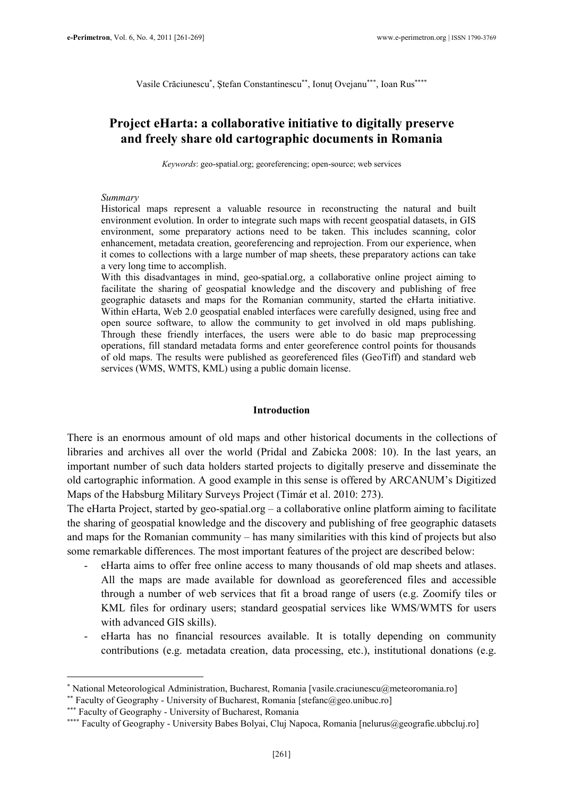Vasile Crăciunescu<sup>∗</sup>, Ștefan Constantinescu<sup>∗∗</sup>, Ionuț Ovejanu<sup>∗∗∗</sup>, Ioan Rus<sup>∗∗∗∗</sup>

# Project eHarta: a collaborative initiative to digitally preserve and freely share old cartographic documents in Romania

Keywords: geo-spatial.org; georeferencing; open-source; web services

#### Summary

Historical maps represent a valuable resource in reconstructing the natural and built environment evolution. In order to integrate such maps with recent geospatial datasets, in GIS environment, some preparatory actions need to be taken. This includes scanning, color enhancement, metadata creation, georeferencing and reprojection. From our experience, when it comes to collections with a large number of map sheets, these preparatory actions can take a very long time to accomplish.

With this disadvantages in mind, geo-spatial.org, a collaborative online project aiming to facilitate the sharing of geospatial knowledge and the discovery and publishing of free geographic datasets and maps for the Romanian community, started the eHarta initiative. Within eHarta, Web 2.0 geospatial enabled interfaces were carefully designed, using free and open source software, to allow the community to get involved in old maps publishing. Through these friendly interfaces, the users were able to do basic map preprocessing operations, fill standard metadata forms and enter georeference control points for thousands of old maps. The results were published as georeferenced files (GeoTiff) and standard web services (WMS, WMTS, KML) using a public domain license.

#### Introduction

There is an enormous amount of old maps and other historical documents in the collections of libraries and archives all over the world (Pridal and Zabicka 2008: 10). In the last years, an important number of such data holders started projects to digitally preserve and disseminate the old cartographic information. A good example in this sense is offered by ARCANUM's Digitized Maps of the Habsburg Military Surveys Project (Timár et al. 2010: 273).

The eHarta Project, started by geo-spatial.org – a collaborative online platform aiming to facilitate the sharing of geospatial knowledge and the discovery and publishing of free geographic datasets and maps for the Romanian community – has many similarities with this kind of projects but also some remarkable differences. The most important features of the project are described below:

- eHarta aims to offer free online access to many thousands of old map sheets and atlases. All the maps are made available for download as georeferenced files and accessible through a number of web services that fit a broad range of users (e.g. Zoomify tiles or KML files for ordinary users; standard geospatial services like WMS/WMTS for users with advanced GIS skills).
- eHarta has no financial resources available. It is totally depending on community contributions (e.g. metadata creation, data processing, etc.), institutional donations (e.g.

 $\overline{a}$ 

<sup>∗</sup> National Meteorological Administration, Bucharest, Romania [vasile.craciunescu@meteoromania.ro]

<sup>∗∗</sup> Faculty of Geography - University of Bucharest, Romania [stefanc@geo.unibuc.ro]

<sup>∗∗∗</sup> Faculty of Geography - University of Bucharest, Romania

<sup>∗∗∗∗</sup> Faculty of Geography - University Babes Bolyai, Cluj Napoca, Romania [nelurus@geografie.ubbcluj.ro]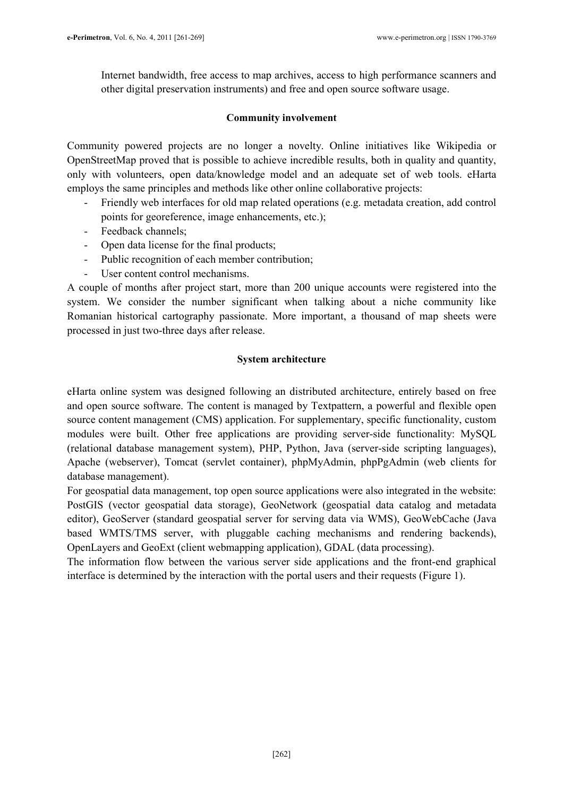Internet bandwidth, free access to map archives, access to high performance scanners and other digital preservation instruments) and free and open source software usage.

# Community involvement

Community powered projects are no longer a novelty. Online initiatives like Wikipedia or OpenStreetMap proved that is possible to achieve incredible results, both in quality and quantity, only with volunteers, open data/knowledge model and an adequate set of web tools. eHarta employs the same principles and methods like other online collaborative projects:

- Friendly web interfaces for old map related operations (e.g. metadata creation, add control points for georeference, image enhancements, etc.);
- Feedback channels;
- Open data license for the final products;
- Public recognition of each member contribution;
- User content control mechanisms.

A couple of months after project start, more than 200 unique accounts were registered into the system. We consider the number significant when talking about a niche community like Romanian historical cartography passionate. More important, a thousand of map sheets were processed in just two-three days after release.

# System architecture

eHarta online system was designed following an distributed architecture, entirely based on free and open source software. The content is managed by Textpattern, a powerful and flexible open source content management (CMS) application. For supplementary, specific functionality, custom modules were built. Other free applications are providing server-side functionality: MySQL (relational database management system), PHP, Python, Java (server-side scripting languages), Apache (webserver), Tomcat (servlet container), phpMyAdmin, phpPgAdmin (web clients for database management).

For geospatial data management, top open source applications were also integrated in the website: PostGIS (vector geospatial data storage), GeoNetwork (geospatial data catalog and metadata editor), GeoServer (standard geospatial server for serving data via WMS), GeoWebCache (Java based WMTS/TMS server, with pluggable caching mechanisms and rendering backends), OpenLayers and GeoExt (client webmapping application), GDAL (data processing).

The information flow between the various server side applications and the front-end graphical interface is determined by the interaction with the portal users and their requests (Figure 1).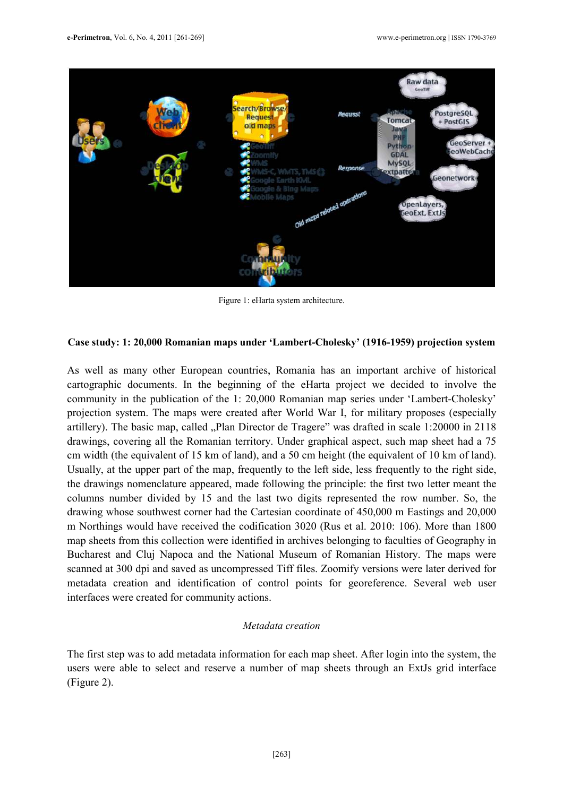

Figure 1: eHarta system architecture.

#### Case study: 1: 20,000 Romanian maps under 'Lambert-Cholesky' (1916-1959) projection system

As well as many other European countries, Romania has an important archive of historical cartographic documents. In the beginning of the eHarta project we decided to involve the community in the publication of the 1: 20,000 Romanian map series under 'Lambert-Cholesky' projection system. The maps were created after World War I, for military proposes (especially artillery). The basic map, called "Plan Director de Tragere" was drafted in scale 1:20000 in 2118 drawings, covering all the Romanian territory. Under graphical aspect, such map sheet had a 75 cm width (the equivalent of 15 km of land), and a 50 cm height (the equivalent of 10 km of land). Usually, at the upper part of the map, frequently to the left side, less frequently to the right side, the drawings nomenclature appeared, made following the principle: the first two letter meant the columns number divided by 15 and the last two digits represented the row number. So, the drawing whose southwest corner had the Cartesian coordinate of 450,000 m Eastings and 20,000 m Northings would have received the codification 3020 (Rus et al. 2010: 106). More than 1800 map sheets from this collection were identified in archives belonging to faculties of Geography in Bucharest and Cluj Napoca and the National Museum of Romanian History. The maps were scanned at 300 dpi and saved as uncompressed Tiff files. Zoomify versions were later derived for metadata creation and identification of control points for georeference. Several web user interfaces were created for community actions.

#### Metadata creation

The first step was to add metadata information for each map sheet. After login into the system, the users were able to select and reserve a number of map sheets through an ExtJs grid interface (Figure 2).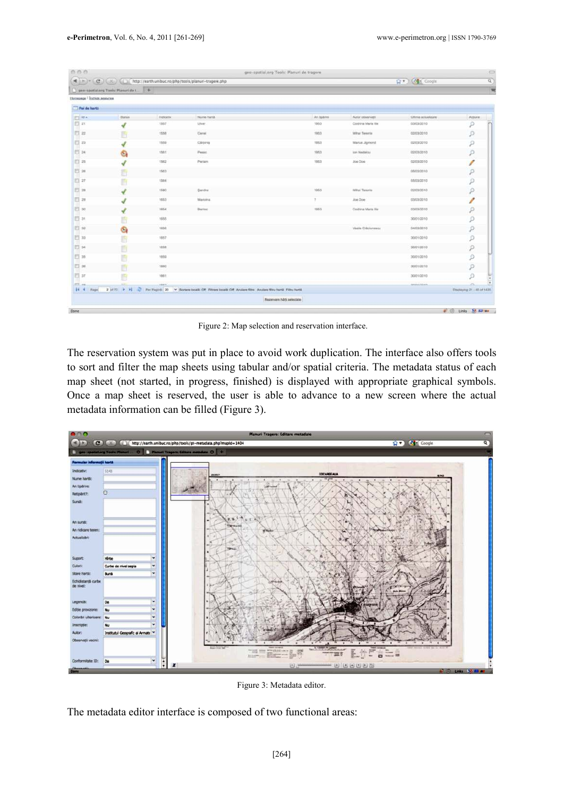|                                         |                                      |           | 4 ) > > (Cf) (X) (D) http://earth.unibuc.ro/php/tools/planuri-tragere.php                                               |               |                        | <b>Q + Coople</b>     |                            |
|-----------------------------------------|--------------------------------------|-----------|-------------------------------------------------------------------------------------------------------------------------|---------------|------------------------|-----------------------|----------------------------|
|                                         | gen spotlatorg Theis: Planuri de s + |           |                                                                                                                         |               |                        |                       |                            |
| Homepage <sup>1</sup> Instigle sesiures |                                      |           |                                                                                                                         |               |                        |                       |                            |
| Foi de hartá                            |                                      |           |                                                                                                                         |               |                        |                       |                            |
| <b>TEL HOLA</b>                         | <b>Blatka</b>                        | Indicativ | Nume hards                                                                                                              | Art tipitrine | Autor observati        | Ultima actualizare    | Active                     |
| El at                                   |                                      | 1957      | <b>Liver</b>                                                                                                            | 1953          | Codrina Maria Ille     | 03/03/2010            | р                          |
| 日本                                      |                                      | 1558      | Carnel                                                                                                                  | 1953          | <b>Mihail Tenerite</b> | 03/03/2010            | $\mathcal{P}$              |
| □ 23                                    |                                      | 1559      | CArpinia                                                                                                                | 1953          | Manus Jigmond          | 02/03/2010            | P                          |
| 四 24                                    | ٥                                    | 1561      | Pesso:                                                                                                                  | 1953          | lan Nedeltai           | 02/03/2010            | $\boldsymbol{\rho}$        |
| 目 25                                    |                                      | 1562      | Periam                                                                                                                  | 1953          | Joe Doe                | 02/03/2010            | Í                          |
| $\Box$ 20                               |                                      | 1563      |                                                                                                                         |               |                        | 05/03/2010            | $\mathcal{P}$              |
| 四 27                                    |                                      | 1584      |                                                                                                                         |               |                        | 05/03/2010            | ₽                          |
| $\Box$ 20                               |                                      | 1580      | <b>Danchi</b>                                                                                                           | 1953          | Mihai Tenerite         | 02/03/2010            | $\mathcal{P}$              |
| □ 28                                    |                                      | 2053      | Marketz                                                                                                                 | ×             | Joe Doe                | 03/03/2010            | P                          |
| $\Box$ 30                               |                                      | nesse     | Beritoo                                                                                                                 | 1953          | Coltins Maria Ille     | 03/03/2010            | $\boldsymbol{\rho}$        |
| El st                                   |                                      | 1055      |                                                                                                                         |               |                        | 30/01/2010            | р                          |
| 日神                                      | G                                    | 1650      |                                                                                                                         |               | Vasilia Criticiummess  | 04/03/2010            | $\mathcal{P}$              |
| ET 33                                   |                                      | 1057      |                                                                                                                         |               |                        | 30/01/2010            | P                          |
| $\Box$ 34                               |                                      | 1658      |                                                                                                                         |               |                        | 30/01/2010            | $\mathcal{P}$              |
| $\Box$ 30                               |                                      | 1959      |                                                                                                                         |               |                        | 30/01/2010            | P                          |
| 巨 au                                    |                                      | 1880      |                                                                                                                         |               |                        | 30/01/2010            | p                          |
| $\Box$ ar                               |                                      | 1003      |                                                                                                                         |               |                        | 30/01/2010            | р                          |
| 27.44                                   |                                      | Additi    |                                                                                                                         |               |                        | <b>Junior Contain</b> | o                          |
| \$4 4 Page                              |                                      |           | 2 jst 72 > > + < Pay Paged, 20 > Sorare locatic Off Filtrare locatic Off Arsisere fitne Anslate Stru hard. Filtru hards |               |                        |                       | Displaying 21 - 40 of 1425 |

Figure 2: Map selection and reservation interface.

The reservation system was put in place to avoid work duplication. The interface also offers tools to sort and filter the map sheets using tabular and/or spatial criteria. The metadata status of each map sheet (not started, in progress, finished) is displayed with appropriate graphical symbols. Once a map sheet is reserved, the user is able to advance to a new screen where the actual metadata information can be filled (Figure 3).



Figure 3: Metadata editor.

The metadata editor interface is composed of two functional areas: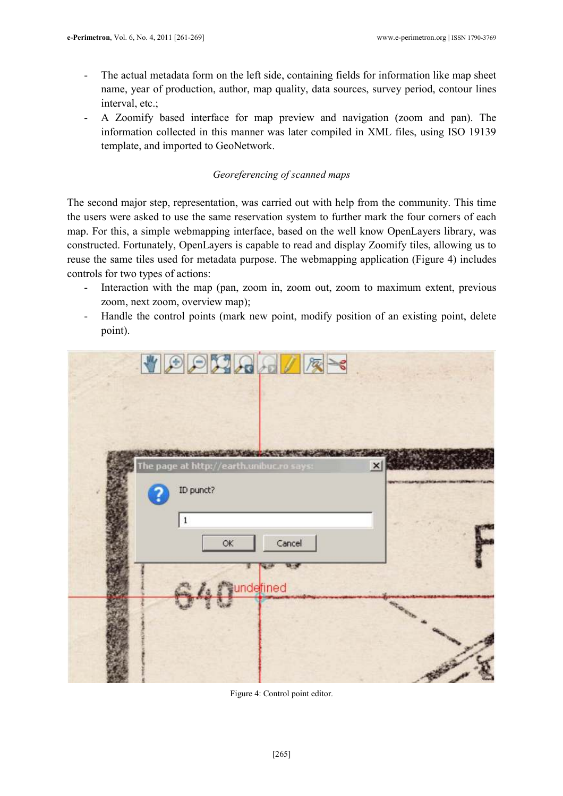- The actual metadata form on the left side, containing fields for information like map sheet name, year of production, author, map quality, data sources, survey period, contour lines interval, etc.;
- A Zoomify based interface for map preview and navigation (zoom and pan). The information collected in this manner was later compiled in XML files, using ISO 19139 template, and imported to GeoNetwork.

# Georeferencing of scanned maps

The second major step, representation, was carried out with help from the community. This time the users were asked to use the same reservation system to further mark the four corners of each map. For this, a simple webmapping interface, based on the well know OpenLayers library, was constructed. Fortunately, OpenLayers is capable to read and display Zoomify tiles, allowing us to reuse the same tiles used for metadata purpose. The webmapping application (Figure 4) includes controls for two types of actions:

- Interaction with the map (pan, zoom in, zoom out, zoom to maximum extent, previous zoom, next zoom, overview map);
- Handle the control points (mark new point, modify position of an existing point, delete point).

| VOOMRAVE                                                                              |                 |
|---------------------------------------------------------------------------------------|-----------------|
| <b>ENSING TO CONTROL A FORM OF COURSE</b><br>The page at http://earth.unibuc.ro says: | $\vert x \vert$ |
| ID punct?<br>$\vert$ 1                                                                |                 |
| Cancel<br>OK<br>a s <sup>ec</sup> underined                                           |                 |
|                                                                                       |                 |

Figure 4: Control point editor.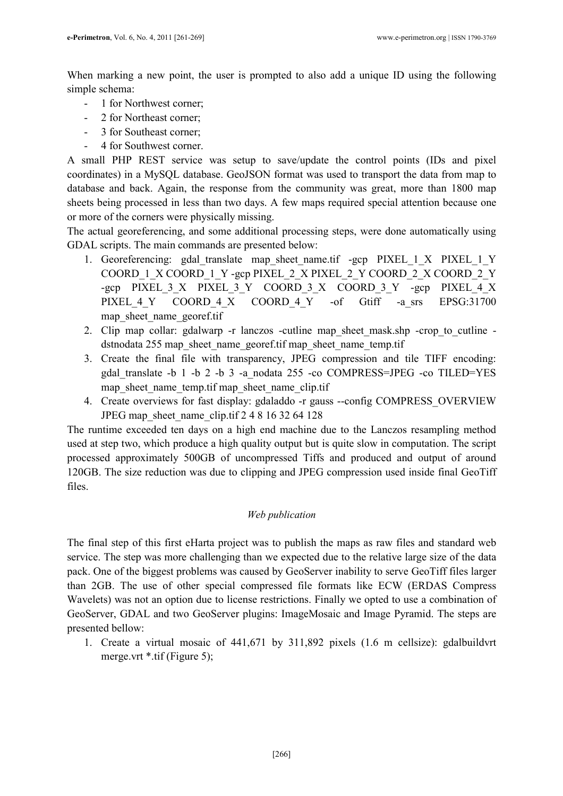When marking a new point, the user is prompted to also add a unique ID using the following simple schema:

- 1 for Northwest corner;
- 2 for Northeast corner;
- 3 for Southeast corner;
- 4 for Southwest corner.

A small PHP REST service was setup to save/update the control points (IDs and pixel coordinates) in a MySQL database. GeoJSON format was used to transport the data from map to database and back. Again, the response from the community was great, more than 1800 map sheets being processed in less than two days. A few maps required special attention because one or more of the corners were physically missing.

The actual georeferencing, and some additional processing steps, were done automatically using GDAL scripts. The main commands are presented below:

- 1. Georeferencing: gdal\_translate map\_sheet\_name.tif -gcp PIXEL\_1\_X PIXEL\_1\_Y COORD\_1\_X COORD\_1\_Y -gcp PIXEL\_2\_X PIXEL\_2\_Y COORD\_2\_X COORD\_2\_Y -gcp PIXEL\_3\_X PIXEL\_3\_Y COORD\_3\_X COORD\_3\_Y -gcp PIXEL\_4\_X PIXEL 4 Y COORD 4 X COORD 4 Y -of Gtiff -a\_srs EPSG:31700 map\_sheet\_name\_georef.tif
- 2. Clip map collar: gdalwarp -r lanczos -cutline map sheet mask.shp -crop to cutline dstnodata 255 map\_sheet\_name\_georef.tif map\_sheet\_name\_temp.tif
- 3. Create the final file with transparency, JPEG compression and tile TIFF encoding: gdal\_translate -b 1 -b 2 -b 3 -a\_nodata 255 -co COMPRESS=JPEG -co TILED=YES map\_sheet\_name\_temp.tif map\_sheet\_name\_clip.tif
- 4. Create overviews for fast display: gdaladdo -r gauss --config COMPRESS\_OVERVIEW JPEG map\_sheet\_name\_clip.tif 2 4 8 16 32 64 128

The runtime exceeded ten days on a high end machine due to the Lanczos resampling method used at step two, which produce a high quality output but is quite slow in computation. The script processed approximately 500GB of uncompressed Tiffs and produced and output of around 120GB. The size reduction was due to clipping and JPEG compression used inside final GeoTiff files.

## Web publication

The final step of this first eHarta project was to publish the maps as raw files and standard web service. The step was more challenging than we expected due to the relative large size of the data pack. One of the biggest problems was caused by GeoServer inability to serve GeoTiff files larger than 2GB. The use of other special compressed file formats like ECW (ERDAS Compress Wavelets) was not an option due to license restrictions. Finally we opted to use a combination of GeoServer, GDAL and two GeoServer plugins: ImageMosaic and Image Pyramid. The steps are presented bellow:

1. Create a virtual mosaic of 441,671 by 311,892 pixels (1.6 m cellsize): gdalbuildvrt merge.vrt \*.tif (Figure 5);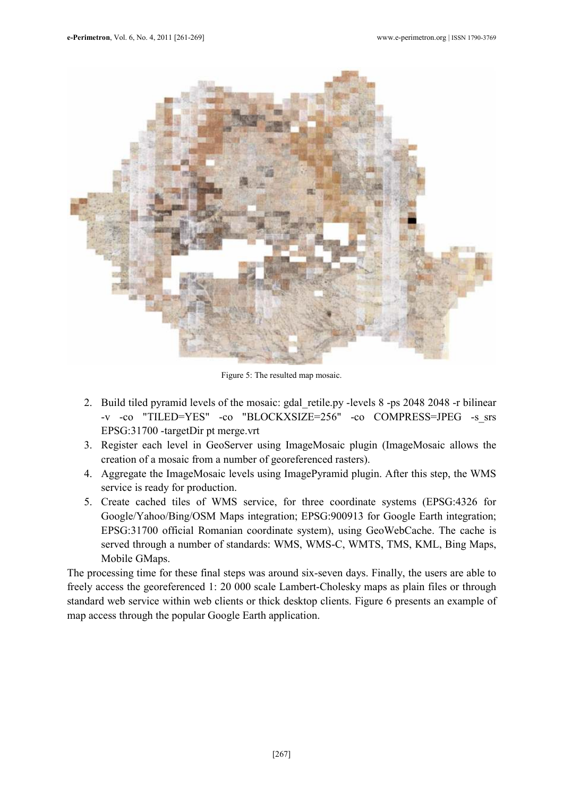

Figure 5: The resulted map mosaic.

- 2. Build tiled pyramid levels of the mosaic: gdal\_retile.py -levels 8 -ps 2048 2048 -r bilinear -v -co "TILED=YES" -co "BLOCKXSIZE=256" -co COMPRESS=JPEG -s\_srs EPSG:31700 -targetDir pt merge.vrt
- 3. Register each level in GeoServer using ImageMosaic plugin (ImageMosaic allows the creation of a mosaic from a number of georeferenced rasters).
- 4. Aggregate the ImageMosaic levels using ImagePyramid plugin. After this step, the WMS service is ready for production.
- 5. Create cached tiles of WMS service, for three coordinate systems (EPSG:4326 for Google/Yahoo/Bing/OSM Maps integration; EPSG:900913 for Google Earth integration; EPSG:31700 official Romanian coordinate system), using GeoWebCache. The cache is served through a number of standards: WMS, WMS-C, WMTS, TMS, KML, Bing Maps, Mobile GMaps.

The processing time for these final steps was around six-seven days. Finally, the users are able to freely access the georeferenced 1: 20 000 scale Lambert-Cholesky maps as plain files or through standard web service within web clients or thick desktop clients. Figure 6 presents an example of map access through the popular Google Earth application.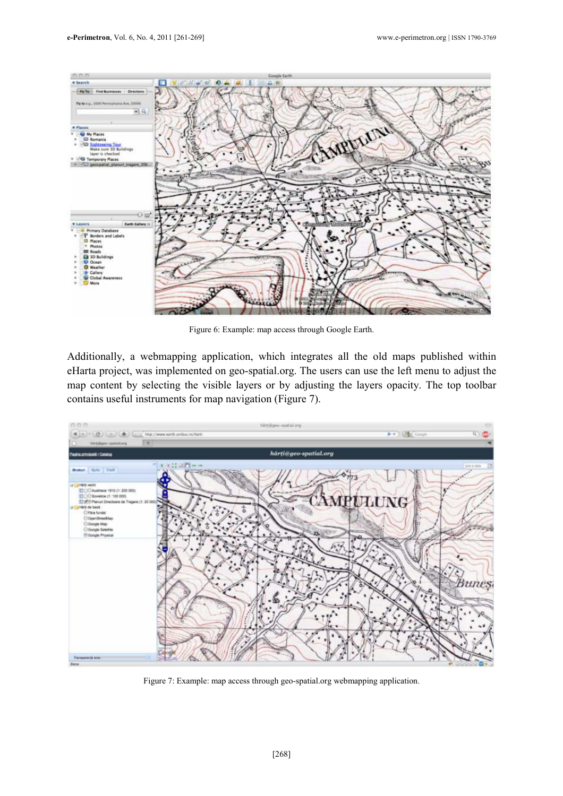



Figure 6: Example: map access through Google Earth.

Additionally, a webmapping application, which integrates all the old maps published within eHarta project, was implemented on geo-spatial.org. The users can use the left menu to adjust the map content by selecting the visible layers or by adjusting the layers opacity. The top toolbar contains useful instruments for map navigation (Figure 7).



Figure 7: Example: map access through geo-spatial.org webmapping application.